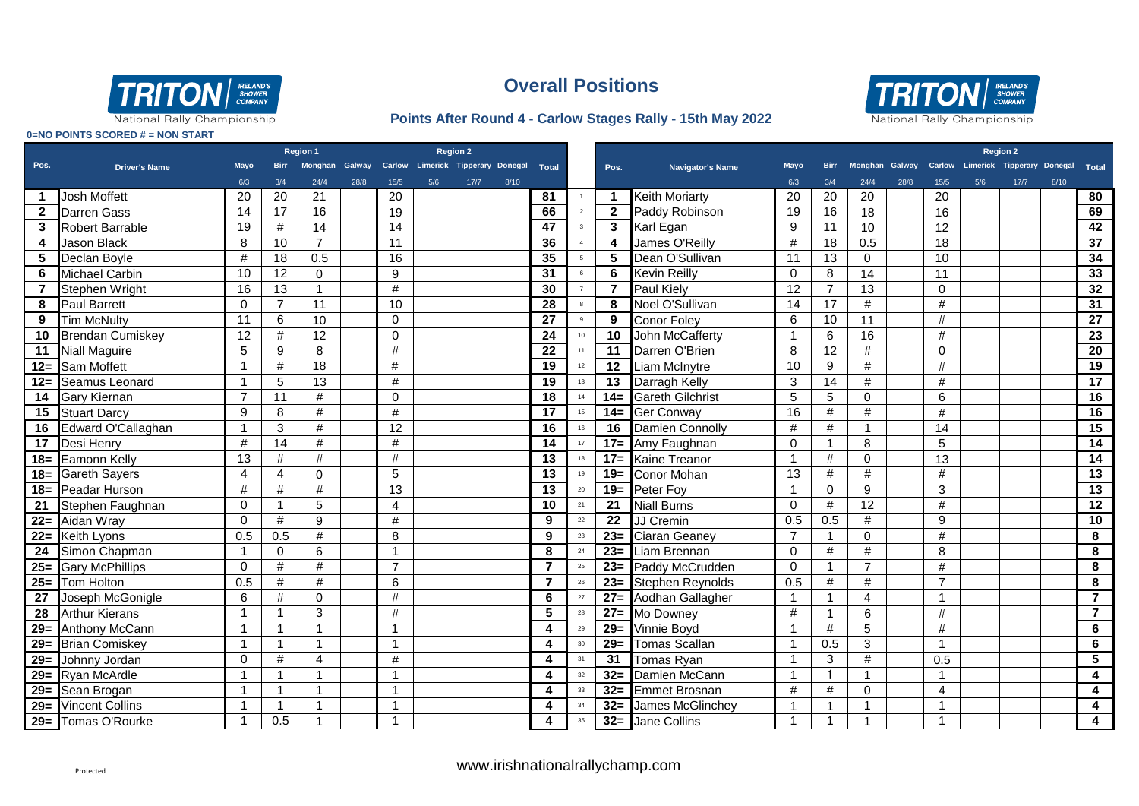

#### **Points After Round 4 - Carlow Stages Rally - 15th May 2022**



National Rally Championship

|                |                         | Region 1<br><b>Region 2</b> |                |                      |      |                 |     |                                                        |      |                 |                |                         |                         |                 |                 |                  |      | <b>Region 2</b> |     |                                         |      |                         |
|----------------|-------------------------|-----------------------------|----------------|----------------------|------|-----------------|-----|--------------------------------------------------------|------|-----------------|----------------|-------------------------|-------------------------|-----------------|-----------------|------------------|------|-----------------|-----|-----------------------------------------|------|-------------------------|
| Pos.           | <b>Driver's Name</b>    | <b>Mayo</b>                 | <b>Birr</b>    |                      |      |                 |     | Monghan Galway Carlow Limerick Tipperary Donegal Total |      |                 |                | Pos.                    | <b>Navigator's Name</b> | Mayo            | <b>Birr</b>     | Monghan Galway   |      |                 |     | Carlow Limerick Tipperary Donegal Total |      |                         |
|                |                         | 6/3                         | 3/4            | 24/4                 | 28/8 | 15/5            | 5/6 | 17/7                                                   | 8/10 |                 |                |                         |                         | 6/3             | 3/4             | 24/4             | 28/8 | 15/5            | 5/6 | 17/7                                    | 8/10 |                         |
| 1              | <b>Josh Moffett</b>     | 20                          | 20             | 21                   |      | 20              |     |                                                        |      | 81              | $\overline{1}$ | $\overline{\mathbf{1}}$ | <b>Keith Moriarty</b>   | 20              | 20              | 20               |      | 20              |     |                                         |      | 80                      |
| $2^{\circ}$    | Darren Gass             | 14                          | 17             | 16                   |      | 19              |     |                                                        |      | 66              | $\overline{2}$ | $\overline{2}$          | Paddy Robinson          | 19              | 16              | 18               |      | 16              |     |                                         |      | 69                      |
| 3              | <b>Robert Barrable</b>  | 19                          | #              | $\overline{14}$      |      | $\overline{14}$ |     |                                                        |      | 47              | $\mathbf{3}$   | $\overline{3}$          | Karl Egan               | 9               | 11              | 10               |      | 12              |     |                                         |      | 42                      |
| 4              | <b>Jason Black</b>      | 8                           | 10             | $\overline{7}$       |      | 11              |     |                                                        |      | 36              | $\overline{4}$ | $\overline{\mathbf{4}}$ | James O'Reilly          | $\#$            | 18              | 0.5              |      | 18              |     |                                         |      | $\overline{37}$         |
| 5              | Declan Boyle            | #                           | 18             | 0.5                  |      | 16              |     |                                                        |      | 35              | 5              | $\sqrt{5}$              | Dean O'Sullivan         | 11              | $\overline{13}$ | $\mathbf 0$      |      | 10              |     |                                         |      | 34                      |
| 6              | <b>Michael Carbin</b>   | 10                          | 12             | $\Omega$             |      | 9               |     |                                                        |      | 31              | 6              | 6                       | <b>Kevin Reilly</b>     | $\Omega$        | 8               | $\overline{14}$  |      | 11              |     |                                         |      | 33                      |
| $\overline{7}$ | Stephen Wright          | 16                          | 13             | $\overline{1}$       |      | $\#$            |     |                                                        |      | 30              | $\overline{7}$ | $\overline{7}$          | Paul Kiely              | $\overline{12}$ | $\overline{7}$  | $\overline{13}$  |      | $\Omega$        |     |                                         |      | 32                      |
| 8              | <b>Paul Barrett</b>     | $\mathbf{0}$                | $\overline{7}$ | 11                   |      | 10              |     |                                                        |      | 28              | $_{\rm 8}$     | 8                       | Noel O'Sullivan         | 14              | $\overline{17}$ | $\#$             |      | $\#$            |     |                                         |      | $\overline{31}$         |
| 9              | <b>Tim McNulty</b>      | 11                          | 6              | 10                   |      | $\Omega$        |     |                                                        |      | $\overline{27}$ | $_{9}$         | 9                       | <b>Conor Foley</b>      | 6               | 10              | 11               |      | #               |     |                                         |      | $\overline{27}$         |
| 10             | <b>Brendan Cumiskey</b> | 12                          | $\#$           | 12                   |      | $\Omega$        |     |                                                        |      | 24              | 10             | 10                      | John McCafferty         | $\mathbf{1}$    | 6               | 16               |      | #               |     |                                         |      | $\overline{23}$         |
| 11             | <b>Niall Maguire</b>    | 5                           | 9              | 8                    |      | #               |     |                                                        |      | $\overline{22}$ | 11             | $\overline{11}$         | Darren O'Brien          | 8               | 12              | $\#$             |      | $\Omega$        |     |                                         |      | $\overline{20}$         |
|                | 12= Sam Moffett         | $\overline{1}$              | #              | 18                   |      | #               |     |                                                        |      | 19              | 12             | 12                      | <b>Liam McInytre</b>    | 10              | 9               | #                |      | #               |     |                                         |      | 19                      |
| $12 =$         | Seamus Leonard          | -1                          | 5              | 13                   |      | #               |     |                                                        |      | 19              | 13             | 13                      | Darragh Kelly           | 3               | 14              | #                |      | #               |     |                                         |      | 17                      |
| 14             | <b>Gary Kiernan</b>     | $\overline{7}$              | 11             | #                    |      | $\Omega$        |     |                                                        |      | $\overline{18}$ | 14             | $14=$                   | <b>Gareth Gilchrist</b> | 5               | 5               | $\mathbf 0$      |      | 6               |     |                                         |      | 16                      |
| 15             | <b>Stuart Darcy</b>     | 9                           | 8              | #                    |      | #               |     |                                                        |      | 17              | 15             |                         | 14= Ger Conway          | 16              | #               | $\#$             |      | #               |     |                                         |      | 16                      |
| 16             | Edward O'Callaghan      | $\overline{1}$              | 3              | #                    |      | 12              |     |                                                        |      | 16              | 16             | 16                      | Damien Connolly         | $\#$            | $\#$            | $\overline{1}$   |      | 14              |     |                                         |      | 15                      |
| 17             | Desi Henry              | #                           | 14             | #                    |      | #               |     |                                                        |      | 14              | 17             | $17=$                   | Amy Faughnan            | $\Omega$        | 1               | 8                |      | 5               |     |                                         |      | 14                      |
| $18 =$         | Eamonn Kelly            | 13                          | #              | #                    |      | #               |     |                                                        |      | $\overline{13}$ | 18             | $17=$                   | <b>Kaine Treanor</b>    | 1               | #               | $\mathbf 0$      |      | 13              |     |                                         |      | 14                      |
| $18 =$         | <b>Gareth Sayers</b>    | $\overline{4}$              | 4              | $\Omega$             |      | 5               |     |                                                        |      | 13              | 19             | $19=$                   | <b>Conor Mohan</b>      | 13              | #               | #                |      | #               |     |                                         |      | 13                      |
|                | 18 Peadar Hurson        | #                           | #              | #                    |      | 13              |     |                                                        |      | 13              | 20             |                         | 19= $Peter Foy$         | $\mathbf{1}$    | $\Omega$        | $\boldsymbol{9}$ |      | 3               |     |                                         |      | $\overline{13}$         |
| 21             | Stephen Faughnan        | $\Omega$                    |                | 5                    |      | 4               |     |                                                        |      | 10              | 21             | 21                      | <b>Niall Burns</b>      | $\Omega$        | $\#$            | 12               |      | $\#$            |     |                                         |      | 12                      |
|                | 22= Aidan Wray          | $\mathbf{0}$                | #              | 9                    |      | $\#$            |     |                                                        |      | 9               | $22\,$         | 22                      | JJ Cremin               | 0.5             | 0.5             | $\#$             |      | 9               |     |                                         |      | 10                      |
|                | 22= Keith Lyons         | 0.5                         | 0.5            | #                    |      | 8               |     |                                                        |      | 9               | $23\,$         | $23=$                   | Ciaran Geaney           | $\overline{7}$  |                 | 0                |      | #               |     |                                         |      | 8                       |
| 24             | Simon Chapman           | -1                          | 0              | 6                    |      | 1               |     |                                                        |      | 8               | 24             | $23=$                   | Liam Brennan            | $\Omega$        | #               | #                |      | 8               |     |                                         |      | $\overline{\mathbf{8}}$ |
|                | 25= Gary McPhillips     | $\Omega$                    | #              | #                    |      | $\overline{7}$  |     |                                                        |      | $\overline{7}$  | 25             | $23=$                   | Paddy McCrudden         | $\Omega$        | 1               | $\overline{7}$   |      | #               |     |                                         |      | 8                       |
|                | 25= Tom Holton          | 0.5                         | #              | $\#$                 |      | 6               |     |                                                        |      | $\overline{7}$  | ${\bf 26}$     | $23=$                   | <b>Stephen Reynolds</b> | 0.5             | #               | $\#$             |      | $\overline{7}$  |     |                                         |      | 8                       |
| 27             | Joseph McGonigle        | 6                           | #              | $\mathbf 0$          |      | $\#$            |     |                                                        |      | 6               | 27             | $27=$                   | Aodhan Gallagher        | $\mathbf{1}$    | 1               | $\overline{4}$   |      | -1              |     |                                         |      | $\overline{\mathbf{7}}$ |
| 28             | <b>Arthur Kierans</b>   | $\mathbf{1}$                |                | 3                    |      | #               |     |                                                        |      | 5               | 28             | $27=$                   | Mo Downey               | #               | $\overline{1}$  | 6                |      | #               |     |                                         |      | $\overline{7}$          |
|                | 29= Anthony McCann      | $\mathbf{1}$                |                | $\overline{1}$       |      | $\overline{1}$  |     |                                                        |      | 4               | 29             | $29=$                   | Vinnie Boyd             | 1               | #               | $\sqrt{5}$       |      | #               |     |                                         |      | 6                       |
|                | 29= Brian Comiskey      | $\mathbf{1}$                |                | 1                    |      |                 |     |                                                        |      | 4               | $30\,$         | $29=$                   | Tomas Scallan           | $\mathbf{1}$    | 0.5             | 3                |      | 1               |     |                                         |      | 6                       |
|                | 29= Johnny Jordan       | $\Omega$                    | #              | $\overline{4}$       |      | $\#$            |     |                                                        |      | 4               | 31             | 31                      | Tomas Ryan              | 1               | 3               | #                |      | 0.5             |     |                                         |      | $\overline{\mathbf{5}}$ |
|                | 29= Ryan McArdle        | $\overline{1}$              |                | 1                    |      |                 |     |                                                        |      | 4               | $32\,$         | $32=$                   | Damien McCann           | 1               |                 | $\overline{1}$   |      | 1               |     |                                         |      | $\overline{\mathbf{4}}$ |
|                | 29= Sean Brogan         | $\mathbf 1$                 | $\overline{1}$ | $\blacktriangleleft$ |      | 1               |     |                                                        |      | 4               | 33             | $32 =$                  | Emmet Brosnan           | #               | #               | 0                |      | 4               |     |                                         |      | 4                       |
|                | 29= Vincent Collins     | -1                          | -1             | 1                    |      | 1               |     |                                                        |      | 4               | $34\,$         | $32=$                   | James McGlinchey        |                 |                 | $\overline{1}$   |      | 1               |     |                                         |      | 4                       |
|                | 29= Tomas O'Rourke      |                             | 0.5            | 1                    |      |                 |     |                                                        |      | 4               | 35             |                         | 32= Jane Collins        | $\mathbf{1}$    |                 | $\overline{1}$   |      |                 |     |                                         |      | 4                       |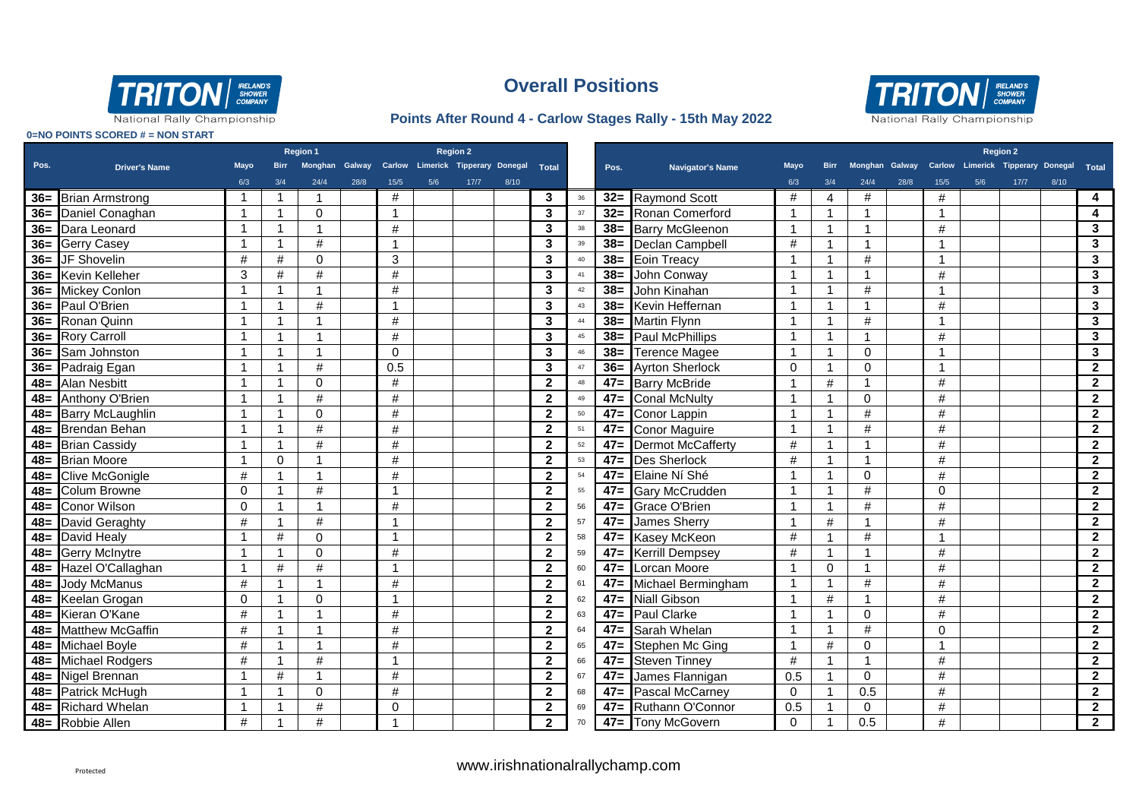

#### **Points After Round 4 - Carlow Stages Rally - 15th May 2022**



|        |                        | <b>Region 2</b><br>Region 1 |                |                         |      |                |     |                                                        |      |                         |        |        |                          |             |                         |                         |      |              | <b>Region 2</b> |                                                        |      |                         |  |
|--------|------------------------|-----------------------------|----------------|-------------------------|------|----------------|-----|--------------------------------------------------------|------|-------------------------|--------|--------|--------------------------|-------------|-------------------------|-------------------------|------|--------------|-----------------|--------------------------------------------------------|------|-------------------------|--|
| Pos.   | <b>Driver's Name</b>   | <b>Mayo</b>                 | <b>Birr</b>    |                         |      |                |     | Monghan Galway Carlow Limerick Tipperary Donegal Total |      |                         |        | Pos.   | <b>Navigator's Name</b>  | <b>Mayo</b> | <b>Birr</b>             |                         |      |              |                 | Monghan Galway Carlow Limerick Tipperary Donegal Total |      |                         |  |
|        |                        | 6/3                         | 3/4            | 24/4                    | 28/8 | 15/5           | 5/6 | 17/7                                                   | 8/10 |                         |        |        |                          | 6/3         | 3/4                     | 24/4                    | 28/8 | 15/5         | 5/6             | $17/7$                                                 | 8/10 |                         |  |
|        | 36= Brian Armstrong    | $\mathbf{1}$                | -1             | -1                      |      | #              |     |                                                        |      | 3                       | 36     | $32 =$ | <b>Raymond Scott</b>     | #           | $\overline{4}$          | #                       |      | #            |                 |                                                        |      | 4                       |  |
|        | 36 = Daniel Conaghan   | $\mathbf{1}$                | -1             | $\Omega$                |      | -1             |     |                                                        |      | 3                       | 37     | $32 =$ | Ronan Comerford          | -1          | $\mathbf{1}$            | $\overline{\mathbf{1}}$ |      | 1            |                 |                                                        |      | 4                       |  |
|        | 36= Dara Leonard       | 1                           | -1             | $\mathbf{1}$            |      | #              |     |                                                        |      | 3                       | 38     | $38=$  | <b>Barry McGleenon</b>   |             | $\mathbf 1$             | -1                      |      | #            |                 |                                                        |      | 3                       |  |
|        | 36= Gerry Casey        | 1                           | $\mathbf{1}$   | $\#$                    |      | - 1            |     |                                                        |      | $\mathbf{3}$            | 39     | $38=$  | Declan Campbell          | #           | -1                      | -1                      |      | 1            |                 |                                                        |      | $\mathbf{3}$            |  |
|        | 36= JF Shovelin        | #                           | #              | $\Omega$                |      | 3              |     |                                                        |      | $\mathbf{3}$            | 40     | $38 =$ | Eoin Treacy              |             | -1                      | #                       |      | -1           |                 |                                                        |      | 3                       |  |
|        | 36= Kevin Kelleher     | 3                           | #              | $\#$                    |      | #              |     |                                                        |      | $\mathbf{3}$            | 41     | $38=$  | John Conway              |             | $\overline{1}$          |                         |      | #            |                 |                                                        |      | $\mathbf{3}$            |  |
|        | 36= Mickey Conlon      |                             | 1              | $\overline{1}$          |      | #              |     |                                                        |      | $\overline{3}$          | 42     | $38=$  | John Kinahan             |             | $\overline{1}$          | #                       |      | $\mathbf{1}$ |                 |                                                        |      | $\overline{\mathbf{3}}$ |  |
|        | 36= Paul O'Brien       |                             | $\overline{1}$ | #                       |      | $\overline{1}$ |     |                                                        |      | 3                       | 43     | $38 =$ | Kevin Heffernan          |             | $\overline{1}$          |                         |      | #            |                 |                                                        |      | 3                       |  |
|        | 36= Ronan Quinn        |                             | -1             | $\overline{\mathbf{1}}$ |      | #              |     |                                                        |      | $\mathbf{3}$            | 44     | $38 =$ | <b>Martin Flynn</b>      |             | $\overline{1}$          | #                       |      | -1           |                 |                                                        |      | 3                       |  |
|        | 36= Rory Carroll       | 1                           | -1             | $\overline{1}$          |      | $\#$           |     |                                                        |      | $\mathbf{3}$            | 45     | $38=$  | <b>Paul McPhillips</b>   | -1          | $\overline{1}$          | $\overline{1}$          |      | $\#$         |                 |                                                        |      | 3                       |  |
|        | 36= Sam Johnston       |                             | -1             | $\overline{1}$          |      | $\Omega$       |     |                                                        |      | 3                       | 46     | $38 =$ | <b>Terence Magee</b>     |             | $\overline{1}$          | $\Omega$                |      | 1            |                 |                                                        |      | $\mathbf{3}$            |  |
|        | 36= Padraig Egan       | 1                           | -1             | #                       |      | 0.5            |     |                                                        |      | 3                       | 47     | $36=$  | <b>Ayrton Sherlock</b>   | $\Omega$    | $\mathbf{1}$            | $\Omega$                |      | -1           |                 |                                                        |      | $\overline{2}$          |  |
|        | 48= Alan Nesbitt       | 1                           | -1             | $\Omega$                |      | #              |     |                                                        |      | $\mathbf{2}$            | 48     | $47=$  | <b>Barry McBride</b>     |             | #                       | 1                       |      | #            |                 |                                                        |      | $\overline{2}$          |  |
|        | 48= Anthony O'Brien    | 1                           | -1             | #                       |      | #              |     |                                                        |      | $\overline{2}$          | 49     | $47=$  | <b>Conal McNulty</b>     | -1          | $\mathbf 1$             | $\Omega$                |      | #            |                 |                                                        |      | $\overline{2}$          |  |
|        | 48 Barry McLaughlin    | 1                           | -1             | $\mathbf 0$             |      | $\#$           |     |                                                        |      | $\mathbf{2}$            | 50     | $47=$  | Conor Lappin             |             | -1                      | #                       |      | #            |                 |                                                        |      | $\mathbf{2}$            |  |
|        | 48= Brendan Behan      | 1                           | $\overline{1}$ | $\#$                    |      | #              |     |                                                        |      | $\mathbf{2}$            | 51     | $47=$  | <b>Conor Maguire</b>     |             | -1                      | $\#$                    |      | $\#$         |                 |                                                        |      | $\mathbf{2}$            |  |
|        | 48= Brian Cassidy      | 1                           | $\overline{1}$ | $\#$                    |      | $\#$           |     |                                                        |      | $\mathbf{2}$            | $52\,$ | $47=$  | <b>Dermot McCafferty</b> | #           | -1                      | -1                      |      | $\#$         |                 |                                                        |      | $\mathbf{2}$            |  |
| $48=$  | <b>Brian Moore</b>     |                             | $\Omega$       | $\overline{1}$          |      | #              |     |                                                        |      | $\overline{2}$          | 53     | $47=$  | Des Sherlock             | #           | $\overline{1}$          | -1                      |      | #            |                 |                                                        |      | $\overline{2}$          |  |
| $48=$  | <b>Clive McGonigle</b> | #                           |                | $\mathbf{1}$            |      | #              |     |                                                        |      | $\mathbf{2}$            | 54     | $47=$  | Elaine Ní Shé            |             | $\overline{1}$          | $\mathbf 0$             |      | #            |                 |                                                        |      | $\overline{2}$          |  |
| $48 =$ | <b>Colum Browne</b>    | $\Omega$                    |                | #                       |      |                |     |                                                        |      | $\overline{2}$          | 55     | $47=$  | <b>Gary McCrudden</b>    |             |                         | #                       |      | $\Omega$     |                 |                                                        |      | $\overline{2}$          |  |
| $48 =$ | <b>Conor Wilson</b>    | $\Omega$                    |                | -1                      |      | #              |     |                                                        |      | $\overline{2}$          | 56     | $47=$  | <b>Grace O'Brien</b>     |             |                         | #                       |      | #            |                 |                                                        |      | $\overline{2}$          |  |
| $48 =$ | David Geraghty         | #                           |                | $\#$                    |      |                |     |                                                        |      | $\overline{\mathbf{2}}$ | 57     | $47 =$ | <b>James Sherry</b>      |             | #                       |                         |      | $\#$         |                 |                                                        |      | $\overline{2}$          |  |
|        | 48= David Healy        | 1                           | #              | $\Omega$                |      | -1             |     |                                                        |      | $\mathbf{2}$            | 58     | $47 =$ | Kasey McKeon             | #           | -1                      | #                       |      | 1            |                 |                                                        |      | $\overline{2}$          |  |
| $48 =$ | <b>Gerry McInytre</b>  |                             |                | $\mathbf 0$             |      | #              |     |                                                        |      | $\mathbf{2}$            | 59     | $47 =$ | <b>Kerrill Dempsey</b>   | #           | -1                      | 1                       |      | $\#$         |                 |                                                        |      | $\overline{2}$          |  |
| $48 =$ | Hazel O'Callaghan      | 1                           | #              | $\#$                    |      | -1             |     |                                                        |      | $\mathbf{2}$            | 60     | $47 =$ | Lorcan Moore             |             | $\mathbf 0$             |                         |      | #            |                 |                                                        |      | $\overline{2}$          |  |
| $48 =$ | <b>Jody McManus</b>    | #                           |                | $\mathbf{1}$            |      | #              |     |                                                        |      | $\mathbf{2}$            | 61     | $47 =$ | Michael Bermingham       |             | -1                      | #                       |      | $\#$         |                 |                                                        |      | $\overline{2}$          |  |
|        | 48= Keelan Grogan      | $\Omega$                    | $\overline{1}$ | $\mathbf 0$             |      | $\overline{1}$ |     |                                                        |      | $\overline{2}$          | 62     | $47=$  | <b>Niall Gibson</b>      |             | $\#$                    | $\overline{\mathbf{1}}$ |      | $\#$         |                 |                                                        |      | $\overline{2}$          |  |
|        | 48= Kieran O'Kane      | #                           | -1             | $\mathbf{1}$            |      | #              |     |                                                        |      | $\mathbf{2}$            | 63     | $47 =$ | Paul Clarke              |             | $\overline{\mathbf{1}}$ | $\mathbf 0$             |      | #            |                 |                                                        |      | $\mathbf{2}$            |  |
|        | 48= Matthew McGaffin   | #                           | -1             | $\overline{1}$          |      | #              |     |                                                        |      | $\mathbf{2}$            | 64     | $47 =$ | Sarah Whelan             |             | $\overline{1}$          | $\#$                    |      | $\Omega$     |                 |                                                        |      | $\mathbf{2}$            |  |
|        | 48= Michael Boyle      | #                           |                | $\mathbf{1}$            |      | #              |     |                                                        |      | $\mathbf{2}$            | 65     | $47=$  | Stephen Mc Ging          |             | #                       | $\mathbf 0$             |      |              |                 |                                                        |      | $\mathbf{2}$            |  |
|        | 48 Michael Rodgers     | #                           | 1              | #                       |      | -1             |     |                                                        |      | $\overline{2}$          | 66     | $47=$  | <b>Steven Tinney</b>     | #           | -1                      | -1                      |      | #            |                 |                                                        |      | $\mathbf{2}$            |  |
|        | 48 = Nigel Brennan     |                             | #              | $\overline{1}$          |      | $\#$           |     |                                                        |      | $\mathbf{2}$            | 67     | $47=$  | James Flannigan          | 0.5         | -1                      | $\mathbf 0$             |      | $\#$         |                 |                                                        |      | $\mathbf{2}$            |  |
|        | 48= Patrick McHugh     |                             | -1             | $\mathbf 0$             |      | #              |     |                                                        |      | $\mathbf{2}$            | 68     | $47=$  | <b>Pascal McCarney</b>   | $\mathbf 0$ | -1                      | 0.5                     |      | $\#$         |                 |                                                        |      | $\overline{2}$          |  |
|        | 48= Richard Whelan     |                             |                | $\#$                    |      | $\Omega$       |     |                                                        |      | $\mathbf{2}$            | 69     | $47 =$ | Ruthann O'Connor         | 0.5         |                         | $\mathbf 0$             |      | $\#$         |                 |                                                        |      | $\mathbf{2}$            |  |
|        | 48= Robbie Allen       | #                           |                | #                       |      |                |     |                                                        |      | $\mathbf{2}$            | 70     |        | 47= Tony McGovern        | $\Omega$    | $\overline{1}$          | 0.5                     |      | #            |                 |                                                        |      | $\overline{\mathbf{2}}$ |  |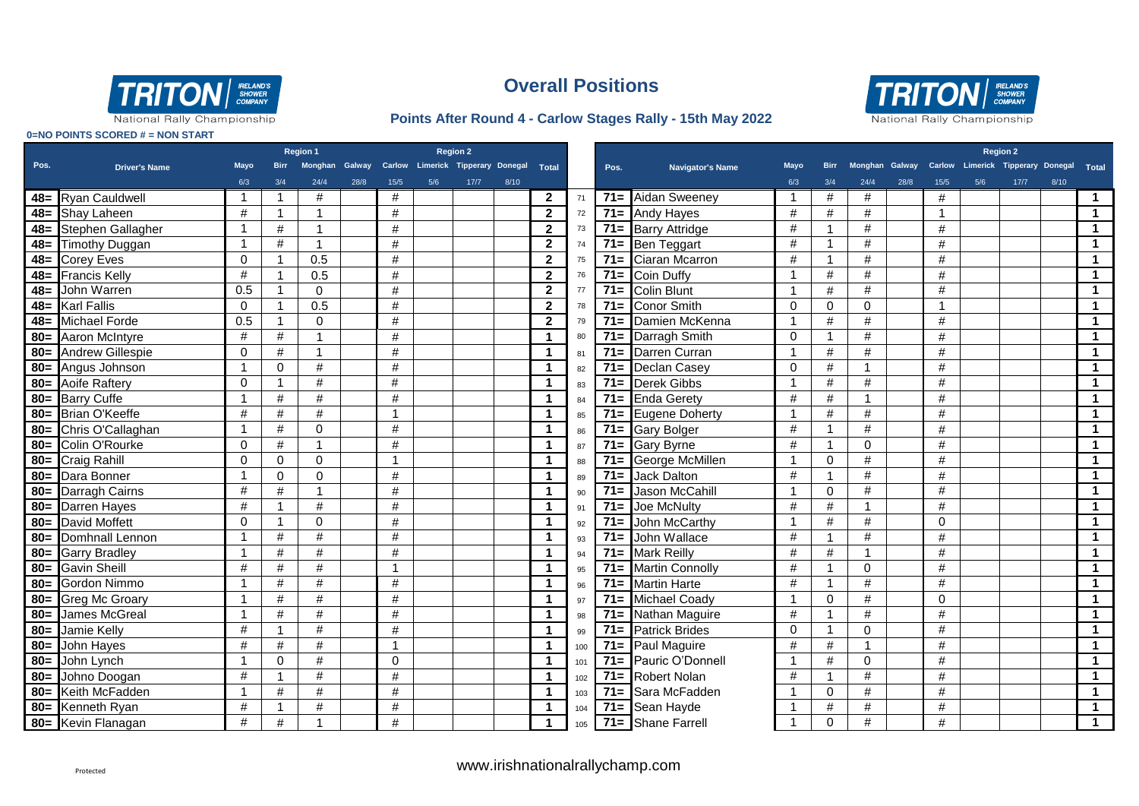

#### **Points After Round 4 - Carlow Stages Rally - 15th May 2022**



|        |                            | <b>Region 1</b><br><b>Region 2</b> |                |                  |      |          |     |                                                  |      |                         |     | <b>Region 2</b> |                         |             |                |          |      |                         |     |                                                        |      |                         |
|--------|----------------------------|------------------------------------|----------------|------------------|------|----------|-----|--------------------------------------------------|------|-------------------------|-----|-----------------|-------------------------|-------------|----------------|----------|------|-------------------------|-----|--------------------------------------------------------|------|-------------------------|
| Pos.   | <b>Driver's Name</b>       | <b>Mayo</b>                        | <b>Birr</b>    |                  |      |          |     | Monghan Galway Carlow Limerick Tipperary Donegal |      | Total                   |     | Pos.            | <b>Navigator's Name</b> | <b>Mayo</b> | <b>Birr</b>    |          |      |                         |     | Monghan Galway Carlow Limerick Tipperary Donegal Total |      |                         |
|        |                            | 6/3                                | 3/4            | 24/4             | 28/8 | 15/5     | 5/6 | 17/7                                             | 8/10 |                         |     |                 |                         | 6/3         | 3/4            | 24/4     | 28/8 | 15/5                    | 5/6 | $17/7$                                                 | 8/10 |                         |
|        | 48= Ryan Cauldwell         | $\mathbf 1$                        | $\overline{1}$ | #                |      | #        |     |                                                  |      | $\overline{2}$          | 71  | $71 =$          | Aidan Sweeney           | -1          | #              | #        |      | #                       |     |                                                        |      | $\overline{1}$          |
|        | 48= Shay Laheen            | $\#$                               | $\overline{1}$ | $\overline{1}$   |      | $\#$     |     |                                                  |      | $\overline{2}$          | 72  | $71 =$          | <b>Andy Hayes</b>       | $\#$        | $\#$           | #        |      | $\overline{\mathbf{1}}$ |     |                                                        |      | $\overline{1}$          |
|        | 48= Stephen Gallagher      | $\mathbf{1}$                       | $\#$           | $\overline{1}$   |      | $\#$     |     |                                                  |      | $\mathbf{2}$            | 73  | $71=$           | <b>Barry Attridge</b>   | #           | $\mathbf{1}$   | #        |      | #                       |     |                                                        |      | $\blacktriangleleft$    |
|        | 48= Timothy Duggan         | $\mathbf{1}$                       | #              | $\overline{1}$   |      | $\#$     |     |                                                  |      | $\mathbf{2}$            | 74  | $71 =$          | <b>Ben Teggart</b>      | #           | $\overline{1}$ | #        |      | #                       |     |                                                        |      | $\blacktriangleleft$    |
|        | 48= Corey Eves             | $\Omega$                           | -1             | 0.5              |      | $\#$     |     |                                                  |      | $\overline{2}$          | 75  | $71 =$          | Ciaran Mcarron          | #           | $\overline{1}$ | #        |      | #                       |     |                                                        |      | $\blacktriangleleft$    |
|        | 48= Francis Kelly          | $\#$                               | -1             | $\overline{0.5}$ |      | #        |     |                                                  |      | $\overline{2}$          | 76  | $71 =$          | <b>Coin Duffy</b>       | 1           | #              | #        |      | #                       |     |                                                        |      | $\mathbf{1}$            |
|        | 48= John Warren            | 0.5                                | $\overline{1}$ | $\mathbf 0$      |      | $\#$     |     |                                                  |      | $\overline{2}$          | 77  | $71 =$          | <b>Colin Blunt</b>      | 1           | $\#$           | $\#$     |      | $\#$                    |     |                                                        |      | $\overline{\mathbf{1}}$ |
|        | 48= Karl Fallis            | $\Omega$                           | $\overline{1}$ | 0.5              |      | $\#$     |     |                                                  |      | $\overline{2}$          | 78  | $71 =$          | <b>Conor Smith</b>      | $\Omega$    | $\Omega$       | $\Omega$ |      |                         |     |                                                        |      | $\blacktriangleleft$    |
|        | 48= Michael Forde          | 0.5                                | $\overline{1}$ | $\Omega$         |      | #        |     |                                                  |      | $\mathbf{2}$            | 79  | $71 =$          | Damien McKenna          | -1          | #              | #        |      | #                       |     |                                                        |      | $\blacktriangleleft$    |
|        | 80= Aaron McIntyre         | #                                  | #              | $\overline{1}$   |      | #        |     |                                                  |      | 1                       | 80  | $71 =$          | Darragh Smith           | $\Omega$    | $\mathbf{1}$   | #        |      | #                       |     |                                                        |      | $\blacktriangleleft$    |
|        | 80= Andrew Gillespie       | 0                                  | $\#$           | $\overline{1}$   |      | $\#$     |     |                                                  |      | -1                      | 81  | $71 =$          | Darren Curran           | -1          | #              | #        |      | #                       |     |                                                        |      | $\blacktriangleleft$    |
|        | 80= Angus Johnson          | $\mathbf{1}$                       | $\mathbf 0$    | #                |      | $\#$     |     |                                                  |      | -1                      | 82  | $71 =$          | Declan Casey            | $\Omega$    | $\#$           | 1        |      | $\#$                    |     |                                                        |      | $\blacktriangleleft$    |
|        | 80= Aoife Raftery          | $\Omega$                           | $\mathbf 1$    | #                |      | #        |     |                                                  |      | -1                      | 83  | $71 =$          | <b>Derek Gibbs</b>      | 1           | #              | #        |      | #                       |     |                                                        |      | $\blacktriangleleft$    |
|        | 80= Barry Cuffe            | 1                                  | #              | #                |      | #        |     |                                                  |      |                         | 84  | $71 =$          | <b>Enda Gerety</b>      | #           | #              |          |      | #                       |     |                                                        |      | $\blacktriangleleft$    |
| $80=$  | Brian O'Keeffe             | #                                  | #              | $\#$             |      |          |     |                                                  |      | -1                      | 85  | $71=$           | <b>Eugene Doherty</b>   |             | #              | #        |      | #                       |     |                                                        |      | $\blacktriangleleft$    |
|        | 80= Chris O'Callaghan      | 1                                  | #              | 0                |      | $\#$     |     |                                                  |      | 1                       | 86  | $71 =$          | <b>Gary Bolger</b>      | #           | 1              | #        |      | #                       |     |                                                        |      | $\mathbf{1}$            |
|        | 80= Colin O'Rourke         | 0                                  | $\#$           | $\overline{1}$   |      | $\#$     |     |                                                  |      | -1                      | 87  | $71 =$          | <b>Gary Byrne</b>       | $\#$        |                | $\Omega$ |      | #                       |     |                                                        |      | $\blacktriangleleft$    |
|        | 80= Craig Rahill           | $\mathbf 0$                        | 0              | $\mathbf 0$      |      |          |     |                                                  |      |                         | 88  | $71 =$          | George McMillen         | 1           | $\Omega$       | #        |      | #                       |     |                                                        |      | $\blacktriangleleft$    |
| $80 =$ | Dara Bonner                | $\mathbf{1}$                       | $\Omega$       | $\Omega$         |      | $\#$     |     |                                                  |      |                         | 89  | $71 =$          | <b>Jack Dalton</b>      | #           | -1             | #        |      | #                       |     |                                                        |      | $\blacktriangleleft$    |
| $80 =$ | Darragh Cairns             | #                                  | #              | $\overline{1}$   |      | $\#$     |     |                                                  |      |                         | 90  | $71 =$          | <b>Jason McCahill</b>   | 1           | $\Omega$       | #        |      | #                       |     |                                                        |      | $\blacktriangleleft$    |
|        | 80= Darren Hayes           | $\#$                               | $\mathbf 1$    | $\#$             |      | #        |     |                                                  |      | -1                      | 91  | $71 =$          | Joe McNulty             | #           | $\#$           |          |      | $\#$                    |     |                                                        |      | $\blacktriangleleft$    |
|        | 80= David Moffett          | $\Omega$                           | $\overline{1}$ | $\mathbf 0$      |      | $\#$     |     |                                                  |      |                         | 92  | $71 =$          | John McCarthy           | 1           | $\#$           | #        |      | 0                       |     |                                                        |      | $\overline{1}$          |
|        | 80= Domhnall Lennon        | 1                                  | #              | #                |      | #        |     |                                                  |      |                         | 93  | $71 =$          | John Wallace            | #           | $\overline{1}$ | #        |      | #                       |     |                                                        |      | $\blacktriangleleft$    |
|        | 80= Garry Bradley          | $\mathbf{1}$                       | $\#$           | $\#$             |      | #        |     |                                                  |      |                         | 94  | $71 =$          | <b>Mark Reilly</b>      | #           | #              |          |      | #                       |     |                                                        |      | $\blacktriangleleft$    |
|        | 80= Gavin Sheill           | #                                  | $\#$           | #                |      |          |     |                                                  |      |                         | 95  | $71 =$          | <b>Martin Connolly</b>  | #           | $\overline{1}$ | $\Omega$ |      | $\#$                    |     |                                                        |      | $\mathbf{1}$            |
|        | 80= Gordon Nimmo           | 1                                  | #              | $\#$             |      | $\#$     |     |                                                  |      |                         | 96  | $71 =$          | <b>Martin Harte</b>     | #           | 1              | $\#$     |      | #                       |     |                                                        |      | $\overline{\mathbf{1}}$ |
|        | 80= Greg Mc Groary         | $\mathbf{1}$                       | $\#$           | $\#$             |      | #        |     |                                                  |      |                         | 97  | $71 =$          | <b>Michael Coady</b>    | 1           | $\Omega$       | #        |      | $\Omega$                |     |                                                        |      | $\blacktriangleleft$    |
|        | 80= James McGreal          | $\mathbf{1}$                       | #              | #                |      | $\#$     |     |                                                  |      |                         | 98  | $71 =$          | Nathan Maguire          | #           | 1              | #        |      | $\#$                    |     |                                                        |      | $\blacktriangleleft$    |
|        | 80= Jamie Kelly            | $\#$                               | $\overline{1}$ | #                |      | $\#$     |     |                                                  |      |                         | 99  | $71 =$          | <b>Patrick Brides</b>   | $\Omega$    | $\mathbf{1}$   | $\Omega$ |      | #                       |     |                                                        |      | $\blacktriangleleft$    |
|        | $\overline{80}$ John Hayes | #                                  | $\#$           | #                |      |          |     |                                                  |      | -1                      | 100 | $71 =$          | Paul Maguire            | #           | #              |          |      | #                       |     |                                                        |      | $\blacktriangleleft$    |
| $80 =$ | John Lynch                 | $\mathbf{1}$                       | $\mathbf 0$    | #                |      | $\Omega$ |     |                                                  |      | $\overline{\mathbf{1}}$ | 101 | $71 =$          | Pauric O'Donnell        | 1           | #              | $\Omega$ |      | #                       |     |                                                        |      | $\blacktriangleleft$    |
|        | 80= Johno Doogan           | #                                  | 1              | $\#$             |      | $\#$     |     |                                                  |      | -1                      | 102 | $71 =$          | <b>Robert Nolan</b>     | #           | 1              | #        |      | #                       |     |                                                        |      | $\overline{1}$          |
|        | 80= Keith McFadden         | 1                                  | #              | #                |      | #        |     |                                                  |      | -1                      | 103 | $71 =$          | Sara McFadden           |             | $\Omega$       | #        |      | #                       |     |                                                        |      | $\blacktriangleleft$    |
|        | 80= Kenneth Ryan           | $\#$                               | 1              | $\#$             |      | $\#$     |     |                                                  |      | -1                      | 104 | $71 =$          | Sean Hayde              |             | #              | #        |      | #                       |     |                                                        |      | $\blacktriangleleft$    |
|        | 80= Kevin Flanagan         | $\#$                               | #              | 1                |      | #        |     |                                                  |      | $\mathbf 1$             | 105 |                 | 71= Shane Farrell       |             | $\Omega$       | #        |      | #                       |     |                                                        |      | $\blacktriangleleft$    |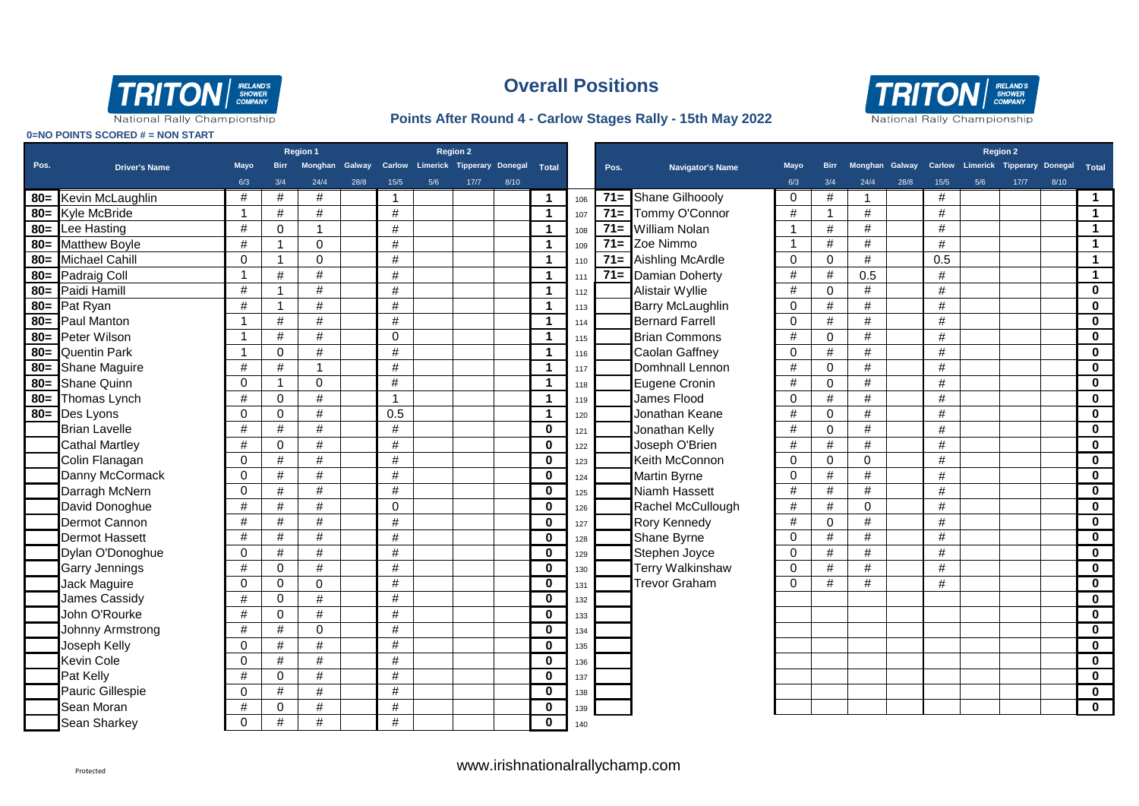

#### **Points After Round 4 - Carlow Stages Rally - 15th May 2022**



|        |                       | <b>Region 2</b><br>Region 1 |                         |                |                |                |                                         |      |      |                         |     |        |                         | <b>Region 2</b> |                |                |      |      |     |                                         |      |                         |
|--------|-----------------------|-----------------------------|-------------------------|----------------|----------------|----------------|-----------------------------------------|------|------|-------------------------|-----|--------|-------------------------|-----------------|----------------|----------------|------|------|-----|-----------------------------------------|------|-------------------------|
| Pos.   | <b>Driver's Name</b>  | <b>Mayo</b>                 | <b>Birr</b>             |                | Monghan Galway |                | Carlow Limerick Tipperary Donegal Total |      |      |                         |     | Pos.   | Navigator's Name        | <b>Mayo</b>     | <b>Birr</b>    | Monghan Galway |      |      |     | Carlow Limerick Tipperary Donegal Total |      |                         |
|        |                       | 6/3                         | 3/4                     | 24/4           | 28/8           | $15/5$         | 5/6                                     | 17/7 | 8/10 |                         |     |        |                         | 6/3             | 3/4            | 24/4           | 28/8 | 15/5 | 5/6 | $17/7$                                  | 8/10 |                         |
| $80 =$ | Kevin McLaughlin      | #                           | #                       | #              |                | 1              |                                         |      |      | $\mathbf 1$             | 106 | $71=$  | Shane Gilhoooly         | $\mathbf 0$     | #              |                |      | #    |     |                                         |      | $\mathbf{1}$            |
| $80 =$ | Kyle McBride          | $\overline{1}$              | $\#$                    | #              |                | #              |                                         |      |      | $\mathbf{1}$            | 107 | $71 =$ | Tommy O'Connor          | #               | $\overline{1}$ | #              |      | #    |     |                                         |      | $\blacktriangleleft$    |
| $80 =$ | Lee Hasting           | $\#$                        | $\mathbf{0}$            | $\overline{1}$ |                | #              |                                         |      |      | $\mathbf 1$             | 108 | $71 =$ | <b>William Nolan</b>    | $\overline{1}$  | #              | $\#$           |      | #    |     |                                         |      | $\blacktriangleleft$    |
| $80 =$ | <b>Matthew Boyle</b>  | $\#$                        |                         | $\Omega$       |                | $\#$           |                                         |      |      | $\blacktriangleleft$    | 109 | $71 =$ | Zoe Nimmo               | $\mathbf 1$     | #              | #              |      | $\#$ |     |                                         |      | $\mathbf{1}$            |
| $80 =$ | Michael Cahill        | $\mathbf 0$                 |                         | $\Omega$       |                | #              |                                         |      |      | $\blacktriangleleft$    | 110 | $71 =$ | Aishling McArdle        | $\Omega$        | $\mathbf 0$    | $\#$           |      | 0.5  |     |                                         |      | $\mathbf{1}$            |
|        | 80= Padraig Coll      | $\overline{1}$              | $\#$                    | #              |                | $\#$           |                                         |      |      | $\mathbf{1}$            | 111 | $71 =$ | Damian Doherty          | #               | #              | 0.5            |      | #    |     |                                         |      | $\blacktriangleleft$    |
|        | 80= Paidi Hamill      | $\#$                        | $\overline{\mathbf{1}}$ | #              |                | $\#$           |                                         |      |      | $\blacktriangleleft$    | 112 |        | Alistair Wyllie         | #               | $\mathbf 0$    | #              |      | #    |     |                                         |      | $\bf{0}$                |
|        | 80= Pat Ryan          | #                           | $\overline{\mathbf{A}}$ | #              |                | $\#$           |                                         |      |      | $\mathbf 1$             | 113 |        | <b>Barry McLaughlin</b> | $\Omega$        | #              | #              |      | #    |     |                                         |      | $\bf{0}$                |
|        | 80= Paul Manton       | -1                          | #                       | #              |                | #              |                                         |      |      | $\mathbf 1$             | 114 |        | <b>Bernard Farrell</b>  | $\Omega$        | #              | #              |      | #    |     |                                         |      | $\bf{0}$                |
| $80=$  | Peter Wilson          | $\overline{1}$              | #                       | $\#$           |                | $\Omega$       |                                         |      |      | $\mathbf 1$             | 115 |        | <b>Brian Commons</b>    | #               | $\Omega$       | #              |      | #    |     |                                         |      | $\bf{0}$                |
| $80 =$ | <b>Quentin Park</b>   | $\overline{1}$              | $\mathbf{0}$            | #              |                | #              |                                         |      |      | $\mathbf{1}$            | 116 |        | <b>Caolan Gaffney</b>   | $\Omega$        | $\#$           | $\#$           |      | #    |     |                                         |      | $\bf{0}$                |
| $80=$  | Shane Maguire         | $\#$                        | $\#$                    | $\overline{1}$ |                | #              |                                         |      |      | $\mathbf{1}$            | 117 |        | Domhnall Lennon         | #               | $\Omega$       | #              |      | #    |     |                                         |      | $\bf{0}$                |
| $80=$  | <b>Shane Quinn</b>    | $\mathbf 0$                 | -1                      | $\mathbf 0$    |                | $\#$           |                                         |      |      | $\mathbf{1}$            | 118 |        | Eugene Cronin           | #               | $\mathbf 0$    | $\#$           |      | #    |     |                                         |      | $\bf{0}$                |
| $80=$  | Thomas Lynch          | $\#$                        | $\mathbf 0$             | $\#$           |                | $\overline{1}$ |                                         |      |      | $\mathbf{1}$            | 119 |        | James Flood             | $\Omega$        | #              | #              |      | #    |     |                                         |      | $\bf{0}$                |
| $80=$  | Des Lyons             | $\mathbf 0$                 | $\mathbf 0$             | #              |                | 0.5            |                                         |      |      | $\mathbf{1}$            | 120 |        | Jonathan Keane          | #               | $\mathbf 0$    | #              |      | #    |     |                                         |      | $\mathbf 0$             |
|        | <b>Brian Lavelle</b>  | $\#$                        | $\#$                    | #              |                | $\#$           |                                         |      |      | $\mathbf 0$             | 121 |        | Jonathan Kelly          | $\#$            | $\mathbf 0$    | $\#$           |      | #    |     |                                         |      | $\bf{0}$                |
|        | <b>Cathal Martley</b> | $\#$                        | $\mathbf 0$             | #              |                | $\#$           |                                         |      |      | $\mathbf 0$             | 122 |        | Joseph O'Brien          | $\#$            | $\#$           | $\#$           |      | #    |     |                                         |      | $\bf{0}$                |
|        | Colin Flanagan        | $\mathbf 0$                 | $\#$                    | #              |                | $\#$           |                                         |      |      | $\mathbf 0$             | 123 |        | Keith McConnon          | $\Omega$        | $\mathbf 0$    | $\Omega$       |      | #    |     |                                         |      | $\mathbf 0$             |
|        | Danny McCormack       | $\mathbf 0$                 | $\#$                    | #              |                | $\#$           |                                         |      |      | $\mathbf 0$             | 124 |        | <b>Martin Byrne</b>     | $\Omega$        | #              | $\#$           |      | #    |     |                                         |      | $\mathbf 0$             |
|        | Darragh McNern        | $\mathbf{0}$                | $\#$                    | #              |                | $\#$           |                                         |      |      | $\mathbf 0$             | 125 |        | Niamh Hassett           | #               | #              | #              |      | #    |     |                                         |      | $\mathbf 0$             |
|        | David Donoghue        | #                           | #                       | #              |                | $\Omega$       |                                         |      |      | $\mathbf 0$             | 126 |        | Rachel McCullough       | #               | #              | $\mathbf 0$    |      | #    |     |                                         |      | $\mathbf{0}$            |
|        | Dermot Cannon         | $\#$                        | $\#$                    | #              |                | #              |                                         |      |      | $\mathbf 0$             | 127 |        | Rory Kennedy            | #               | $\mathbf 0$    | $\#$           |      | #    |     |                                         |      | $\bf{0}$                |
|        | <b>Dermot Hassett</b> | $\#$                        | #                       | #              |                | $\#$           |                                         |      |      | $\mathbf 0$             | 128 |        | Shane Byrne             | $\Omega$        | #              | $\#$           |      | #    |     |                                         |      | $\bf{0}$                |
|        | Dylan O'Donoghue      | $\mathbf{0}$                | #                       | #              |                | $\#$           |                                         |      |      | $\mathbf 0$             | 129 |        | Stephen Joyce           | $\Omega$        | $\#$           | $\#$           |      | #    |     |                                         |      | $\bf{0}$                |
|        | Garry Jennings        | $\#$                        | $\mathbf{0}$            | #              |                | $\#$           |                                         |      |      | $\mathbf 0$             | 130 |        | <b>Terry Walkinshaw</b> | $\Omega$        | #              | #              |      | #    |     |                                         |      | $\bf{0}$                |
|        | Jack Maguire          | $\Omega$                    | $\Omega$                | $\Omega$       |                | #              |                                         |      |      | $\bf{0}$                | 131 |        | <b>Trevor Graham</b>    | $\Omega$        | #              | #              |      | #    |     |                                         |      | $\bf{0}$                |
|        | James Cassidy         | #                           | $\mathbf{0}$            | #              |                | #              |                                         |      |      | $\mathbf{0}$            | 132 |        |                         |                 |                |                |      |      |     |                                         |      | $\mathbf 0$             |
|        | John O'Rourke         | #                           | $\mathbf{0}$            | #              |                | #              |                                         |      |      | $\bf{0}$                | 133 |        |                         |                 |                |                |      |      |     |                                         |      | $\mathbf{0}$            |
|        | Johnny Armstrong      | #                           | #                       | $\mathbf 0$    |                | $\#$           |                                         |      |      | $\mathbf 0$             | 134 |        |                         |                 |                |                |      |      |     |                                         |      | $\mathbf 0$             |
|        | Joseph Kelly          | $\mathbf 0$                 | $\#$                    | $\#$           |                | $\#$           |                                         |      |      | $\overline{\mathbf{0}}$ | 135 |        |                         |                 |                |                |      |      |     |                                         |      | $\mathbf 0$             |
|        | Kevin Cole            | $\mathbf{0}$                | $\#$                    | $\#$           |                | $\#$           |                                         |      |      | $\overline{\mathbf{0}}$ | 136 |        |                         |                 |                |                |      |      |     |                                         |      | $\bf{0}$                |
|        | Pat Kelly             | $\#$                        | $\mathbf 0$             | #              |                | $\#$           |                                         |      |      | $\mathbf 0$             | 137 |        |                         |                 |                |                |      |      |     |                                         |      | $\bf{0}$                |
|        | Pauric Gillespie      | $\mathbf 0$                 | #                       | #              |                | $\#$           |                                         |      |      | $\mathbf 0$             | 138 |        |                         |                 |                |                |      |      |     |                                         |      | $\mathbf 0$             |
|        | Sean Moran            | $\#$                        | $\mathbf 0$             | #              |                | $\#$           |                                         |      |      | $\mathbf 0$             | 139 |        |                         |                 |                |                |      |      |     |                                         |      | $\overline{\mathbf{0}}$ |
|        | Sean Sharkey          | $\mathbf 0$                 | $\#$                    | $\#$           |                | #              |                                         |      |      | $\mathbf 0$             | 140 |        |                         |                 |                |                |      |      |     |                                         |      |                         |